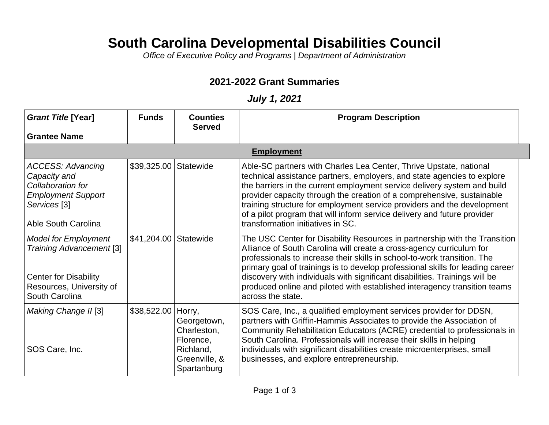# **South Carolina Developmental Disabilities Council**

*Office of Executive Policy and Programs | Department of Administration*

## **2021-2022 Grant Summaries**

### *July 1, 2021*

| <b>Grant Title [Year]</b>                                                                                                                    | <b>Funds</b>          | <b>Counties</b><br><b>Served</b>                                                               | <b>Program Description</b>                                                                                                                                                                                                                                                                                                                                                                                                                                                                        |  |  |  |  |
|----------------------------------------------------------------------------------------------------------------------------------------------|-----------------------|------------------------------------------------------------------------------------------------|---------------------------------------------------------------------------------------------------------------------------------------------------------------------------------------------------------------------------------------------------------------------------------------------------------------------------------------------------------------------------------------------------------------------------------------------------------------------------------------------------|--|--|--|--|
| <b>Grantee Name</b>                                                                                                                          |                       |                                                                                                |                                                                                                                                                                                                                                                                                                                                                                                                                                                                                                   |  |  |  |  |
| <b>Employment</b>                                                                                                                            |                       |                                                                                                |                                                                                                                                                                                                                                                                                                                                                                                                                                                                                                   |  |  |  |  |
| <b>ACCESS: Advancing</b><br>Capacity and<br>Collaboration for<br><b>Employment Support</b><br>Services <sup>[3]</sup><br>Able South Carolina | \$39,325.00           | Statewide                                                                                      | Able-SC partners with Charles Lea Center, Thrive Upstate, national<br>technical assistance partners, employers, and state agencies to explore<br>the barriers in the current employment service delivery system and build<br>provider capacity through the creation of a comprehensive, sustainable<br>training structure for employment service providers and the development<br>of a pilot program that will inform service delivery and future provider<br>transformation initiatives in SC.   |  |  |  |  |
| <b>Model for Employment</b><br><b>Training Advancement [3]</b><br><b>Center for Disability</b><br>Resources, University of<br>South Carolina | \$41,204.00 Statewide |                                                                                                | The USC Center for Disability Resources in partnership with the Transition<br>Alliance of South Carolina will create a cross-agency curriculum for<br>professionals to increase their skills in school-to-work transition. The<br>primary goal of trainings is to develop professional skills for leading career<br>discovery with individuals with significant disabilities. Trainings will be<br>produced online and piloted with established interagency transition teams<br>across the state. |  |  |  |  |
| Making Change II [3]<br>SOS Care, Inc.                                                                                                       | \$38,522.00           | Horry,<br>Georgetown,<br>Charleston,<br>Florence,<br>Richland,<br>Greenville, &<br>Spartanburg | SOS Care, Inc., a qualified employment services provider for DDSN,<br>partners with Griffin-Hammis Associates to provide the Association of<br>Community Rehabilitation Educators (ACRE) credential to professionals in<br>South Carolina. Professionals will increase their skills in helping<br>individuals with significant disabilities create microenterprises, small<br>businesses, and explore entrepreneurship.                                                                           |  |  |  |  |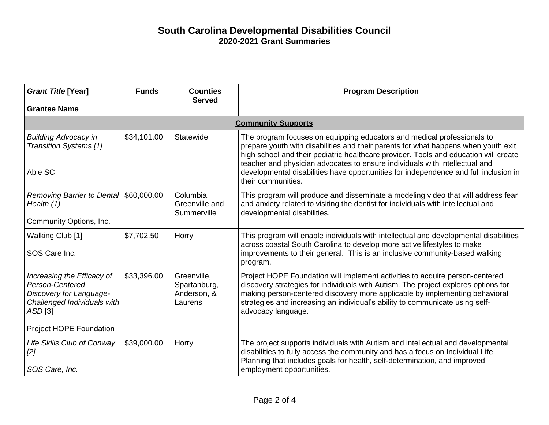#### **South Carolina Developmental Disabilities Council 2020-2021 Grant Summaries**

| <b>Grant Title [Year]</b>                                                                                                                              | <b>Funds</b> | <b>Counties</b><br><b>Served</b>                      | <b>Program Description</b>                                                                                                                                                                                                                                                                                                                                                                                                                         |  |  |
|--------------------------------------------------------------------------------------------------------------------------------------------------------|--------------|-------------------------------------------------------|----------------------------------------------------------------------------------------------------------------------------------------------------------------------------------------------------------------------------------------------------------------------------------------------------------------------------------------------------------------------------------------------------------------------------------------------------|--|--|
| <b>Grantee Name</b>                                                                                                                                    |              |                                                       |                                                                                                                                                                                                                                                                                                                                                                                                                                                    |  |  |
| <b>Community Supports</b>                                                                                                                              |              |                                                       |                                                                                                                                                                                                                                                                                                                                                                                                                                                    |  |  |
| <b>Building Advocacy in</b><br>Transition Systems [1]<br>Able SC                                                                                       | \$34,101.00  | Statewide                                             | The program focuses on equipping educators and medical professionals to<br>prepare youth with disabilities and their parents for what happens when youth exit<br>high school and their pediatric healthcare provider. Tools and education will create<br>teacher and physician advocates to ensure individuals with intellectual and<br>developmental disabilities have opportunities for independence and full inclusion in<br>their communities. |  |  |
| <b>Removing Barrier to Dental</b><br>Health $(1)$<br>Community Options, Inc.                                                                           | \$60,000.00  | Columbia,<br>Greenville and<br>Summerville            | This program will produce and disseminate a modeling video that will address fear<br>and anxiety related to visiting the dentist for individuals with intellectual and<br>developmental disabilities.                                                                                                                                                                                                                                              |  |  |
| Walking Club [1]<br>SOS Care Inc.                                                                                                                      | \$7,702.50   | Horry                                                 | This program will enable individuals with intellectual and developmental disabilities<br>across coastal South Carolina to develop more active lifestyles to make<br>improvements to their general. This is an inclusive community-based walking<br>program.                                                                                                                                                                                        |  |  |
| Increasing the Efficacy of<br>Person-Centered<br>Discovery for Language-<br>Challenged Individuals with<br>$ASD$ [3]<br><b>Project HOPE Foundation</b> | \$33,396.00  | Greenville,<br>Spartanburg,<br>Anderson, &<br>Laurens | Project HOPE Foundation will implement activities to acquire person-centered<br>discovery strategies for individuals with Autism. The project explores options for<br>making person-centered discovery more applicable by implementing behavioral<br>strategies and increasing an individual's ability to communicate using self-<br>advocacy language.                                                                                            |  |  |
| Life Skills Club of Conway<br>[2]<br>SOS Care, Inc.                                                                                                    | \$39,000.00  | Horry                                                 | The project supports individuals with Autism and intellectual and developmental<br>disabilities to fully access the community and has a focus on Individual Life<br>Planning that includes goals for health, self-determination, and improved<br>employment opportunities.                                                                                                                                                                         |  |  |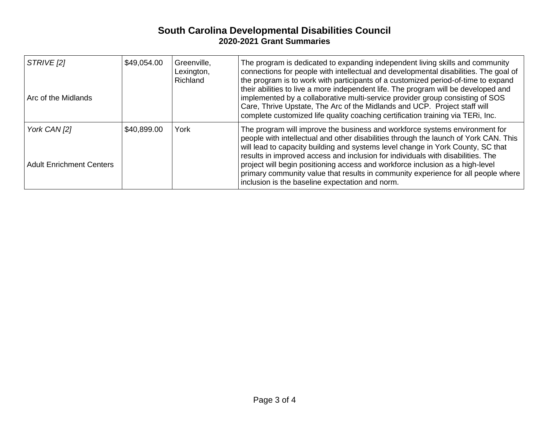#### **South Carolina Developmental Disabilities Council 2020-2021 Grant Summaries**

| STRIVE [2]<br>Arc of the Midlands               | \$49,054.00 | Greenville,<br>Lexington,<br>Richland | The program is dedicated to expanding independent living skills and community<br>connections for people with intellectual and developmental disabilities. The goal of<br>the program is to work with participants of a customized period-of-time to expand<br>their abilities to live a more independent life. The program will be developed and<br>implemented by a collaborative multi-service provider group consisting of SOS<br>Care, Thrive Upstate, The Arc of the Midlands and UCP. Project staff will<br>complete customized life quality coaching certification training via TERi, Inc. |
|-------------------------------------------------|-------------|---------------------------------------|---------------------------------------------------------------------------------------------------------------------------------------------------------------------------------------------------------------------------------------------------------------------------------------------------------------------------------------------------------------------------------------------------------------------------------------------------------------------------------------------------------------------------------------------------------------------------------------------------|
| York CAN [2]<br><b>Adult Enrichment Centers</b> | \$40,899.00 | York                                  | The program will improve the business and workforce systems environment for<br>people with intellectual and other disabilities through the launch of York CAN. This<br>will lead to capacity building and systems level change in York County, SC that<br>results in improved access and inclusion for individuals with disabilities. The<br>project will begin positioning access and workforce inclusion as a high-level<br>primary community value that results in community experience for all people where<br>inclusion is the baseline expectation and norm.                                |